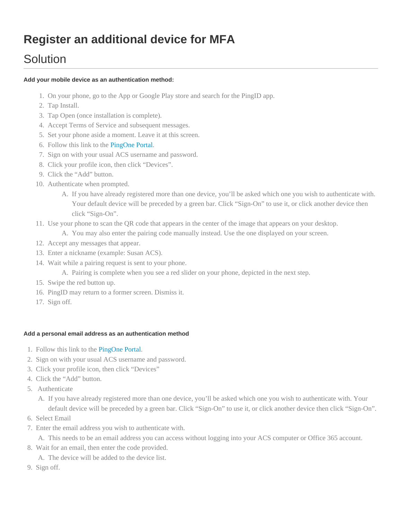# **Register an additional device for MFA**

# **Solution**

### **Add your mobile device as an authentication method:**

- 1. On your phone, go to the App or Google Play store and search for the PingID app.
- 2. Tap Install.
- 3. Tap Open (once installation is complete).
- 4. Accept Terms of Service and subsequent messages.
- 5. Set your phone aside a moment. Leave it at this screen.
- 6. Follow this link to the [PingOne Portal.](https://desktop.pingone.com/ACS-Portal/)
- 7. Sign on with your usual ACS username and password.
- 8. Click your profile icon, then click "Devices".
- 9. Click the "Add" button.
- 10. Authenticate when prompted.
	- A. If you have already registered more than one device, you'll be asked which one you wish to authenticate with. Your default device will be preceded by a green bar. Click "Sign-On" to use it, or click another device then click "Sign-On".
- 11. Use your phone to scan the QR code that appears in the center of the image that appears on your desktop.
	- A. You may also enter the pairing code manually instead. Use the one displayed on your screen.
- 12. Accept any messages that appear.
- 13. Enter a nickname (example: Susan ACS).
- 14. Wait while a pairing request is sent to your phone.
	- A. Pairing is complete when you see a red slider on your phone, depicted in the next step.
- 15. Swipe the red button up.
- 16. PingID may return to a former screen. Dismiss it.
- 17. Sign off.

### **Add a personal email address as an authentication method**

- 1. Follow this link to the [PingOne Portal.](https://desktop.pingone.com/ACS-Portal/)
- 2. Sign on with your usual ACS username and password.
- 3. Click your profile icon, then click "Devices"
- 4. Click the "Add" button.
- 5. Authenticate
	- A. If you have already registered more than one device, you'll be asked which one you wish to authenticate with. Your default device will be preceded by a green bar. Click "Sign-On" to use it, or click another device then click "Sign-On".
- 6. Select Email
- 7. Enter the email address you wish to authenticate with.

A. This needs to be an email address you can access without logging into your ACS computer or Office 365 account.

8. Wait for an email, then enter the code provided.

A. The device will be added to the device list.

9. Sign off.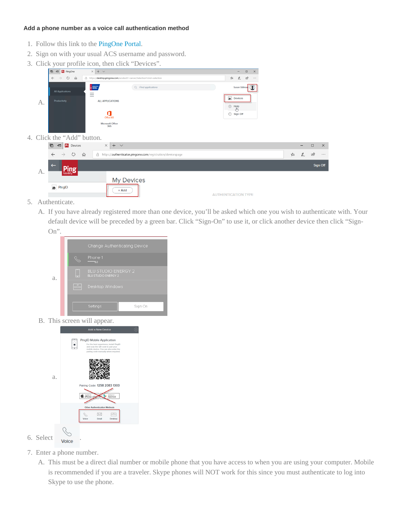### **Add a phone number as a voice call authentication method**

- 1. Follow this link to the [PingOne Portal.](https://desktop.pingone.com/ACS-Portal/)
- 2. Sign on with your usual ACS username and password.
- 3. Click your profile icon, then click "Devices".

|    | ┙                                             | - 7                                                                   |                                         |   |                   |        |              |
|----|-----------------------------------------------|-----------------------------------------------------------------------|-----------------------------------------|---|-------------------|--------|--------------|
|    | <b>El Pr</b> PingOne<br>$\overline{a}$        | $\times$ + $\sim$                                                     | $\Box$<br>$\times$<br>$\qquad \qquad -$ |   |                   |        |              |
|    | $\circ$<br>⋒<br>$\leftarrow$<br>$\rightarrow$ | △ https://desktop.pingone.com/acsdev01-cancer/Selection?cmd=selection | ピ<br>☆<br>$\ell_{-}$<br>$\cdots$        |   |                   |        |              |
|    | <b>All Applications</b>                       | <b>VERSITY</b><br>Q Find applications                                 | $\Omega$<br>Susan Stillman              |   |                   |        |              |
|    | Productivity                                  | Ξ<br><b>ALL APPLICATIONS</b>                                          | <b>D</b> Devices                        |   |                   |        |              |
| A. |                                               | d                                                                     | $(2)$ Help<br><b>₿</b> Sign Off         |   |                   |        |              |
|    |                                               | Office 365<br>Microsoft Office<br>365                                 |                                         |   |                   |        |              |
|    | 4. Click the "Add" button.                    |                                                                       |                                         |   |                   |        |              |
|    | P1 Devices<br>目<br>恒                          | $\times$<br>$+$ $\sim$                                                |                                         |   | $\qquad \qquad -$ | $\Box$ | $\mathsf{X}$ |
|    | $\circ$<br>$\leftarrow$<br>$\rightarrow$      | 心<br>A https://authenticator.pingone.com/registration/devicespage     |                                         | ☆ | $\mathbb{Z}$      | ピ      | $\ldots$     |
| А. | $\leftarrow$<br>'ing<br>Identity.             |                                                                       |                                         |   |                   |        | Sign Off     |
|    | <b>D</b> PingID                               | <b>My Devices</b>                                                     |                                         |   |                   |        |              |
|    |                                               | $+$ Add                                                               | <b>AUTHENTICATION TYPE</b>              |   |                   |        |              |

- 5. Authenticate.
	- A. If you have already registered more than one device, you'll be asked which one you wish to authenticate with. Your default device will be preceded by a green bar. Click "Sign-On" to use it, or click another device then click "Sign-On".



B. This screen will appear.



- 7. Enter a phone number.
	- A. This must be a direct dial number or mobile phone that you have access to when you are using your computer. Mobile is recommended if you are a traveler. Skype phones will NOT work for this since you must authenticate to log into Skype to use the phone.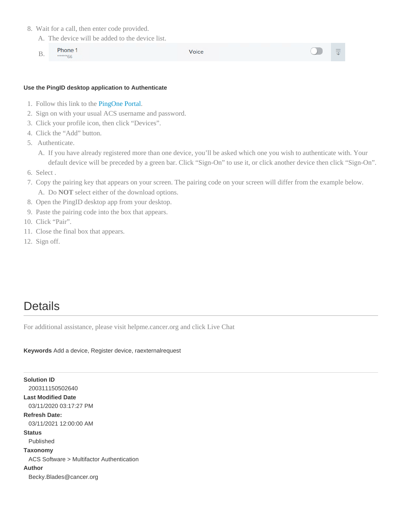- 8. Wait for a call, then enter code provided.
	- A. The device will be added to the device list.
	- Phone 1 B. \*66

Voice

#### **Use the PingID desktop application to Authenticate**

- 1. Follow this link to the [PingOne Portal.](https://desktop.pingone.com/ACS-Portal/)
- 2. Sign on with your usual ACS username and password.
- 3. Click your profile icon, then click "Devices".
- 4. Click the "Add" button.
- 5. Authenticate.
	- A. If you have already registered more than one device, you'll be asked which one you wish to authenticate with. Your default device will be preceded by a green bar. Click "Sign-On" to use it, or click another device then click "Sign-On".
- 6. Select .
- 7. Copy the pairing key that appears on your screen. The pairing code on your screen will differ from the example below. A. Do **NOT** select either of the download options.
- 8. Open the PingID desktop app from your desktop.
- 9. Paste the pairing code into the box that appears.
- 10. Click "Pair".
- 11. Close the final box that appears.
- 12. Sign off.

## **Details**

For additional assistance, please visit helpme.cancer.org and click Live Chat

### **Keywords** Add a device, Register device, raexternalrequest

| <b>Solution ID</b>                        |
|-------------------------------------------|
| 200311150502640                           |
| <b>Last Modified Date</b>                 |
| 03/11/2020 03:17:27 PM                    |
| <b>Refresh Date:</b>                      |
| 03/11/2021 12:00:00 AM                    |
| <b>Status</b>                             |
| Published                                 |
| Taxonomy                                  |
| ACS Software > Multifactor Authentication |
| Author                                    |
| Becky.Blades@cancer.org                   |
|                                           |